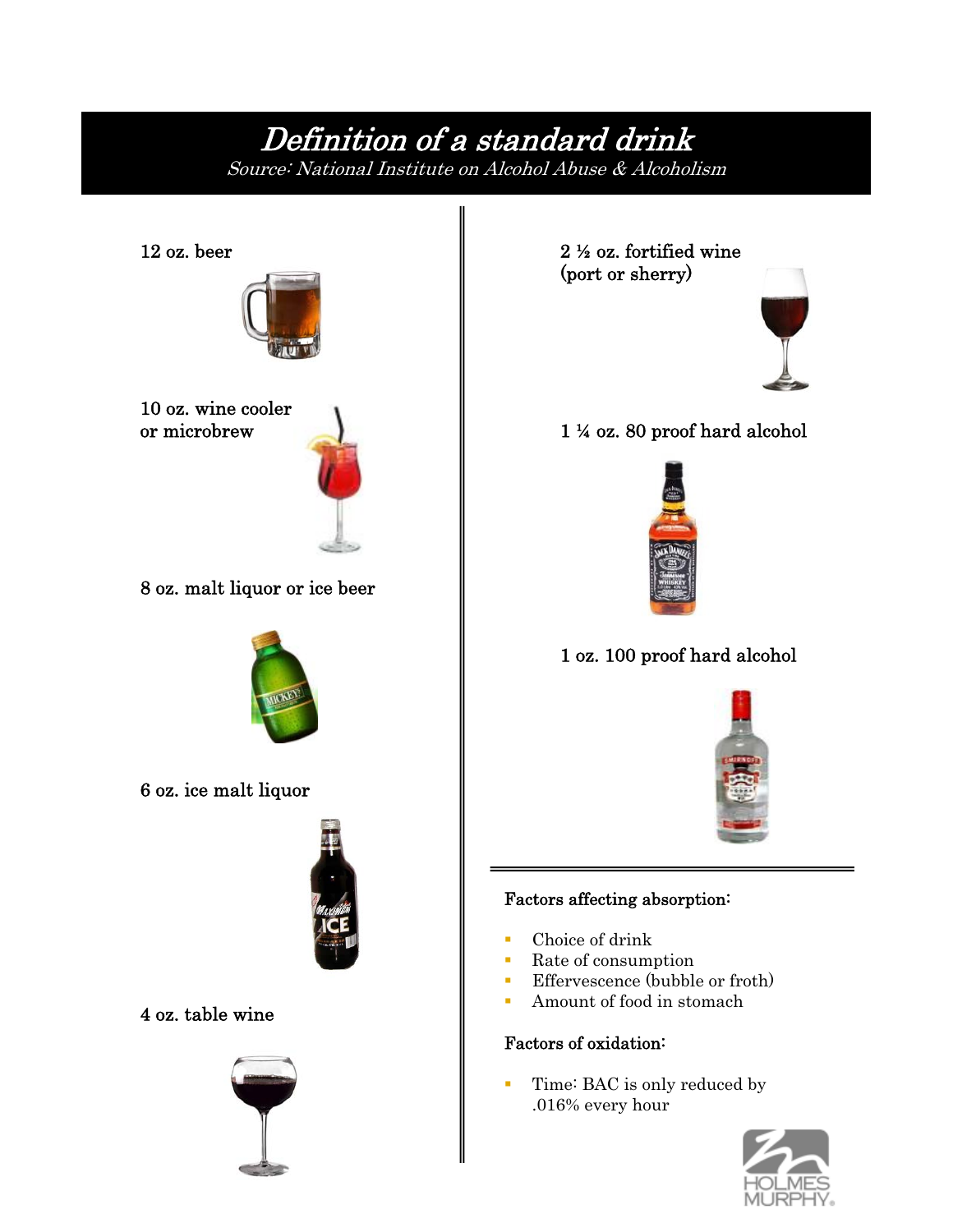# Definition of a standard drink

Source: National Institute on Alcohol Abuse & Alcoholism



 2 ½ oz. fortified wine (port or sherry)



1 ¼ oz. 80 proof hard alcohol



1 oz. 100 proof hard alcohol



### Factors affecting absorption:

- Choice of drink
- Rate of consumption
- **Effervescence** (bubble or froth)
- **Amount of food in stomach**

#### Factors of oxidation:

Time: BAC is only reduced by .016% every hour